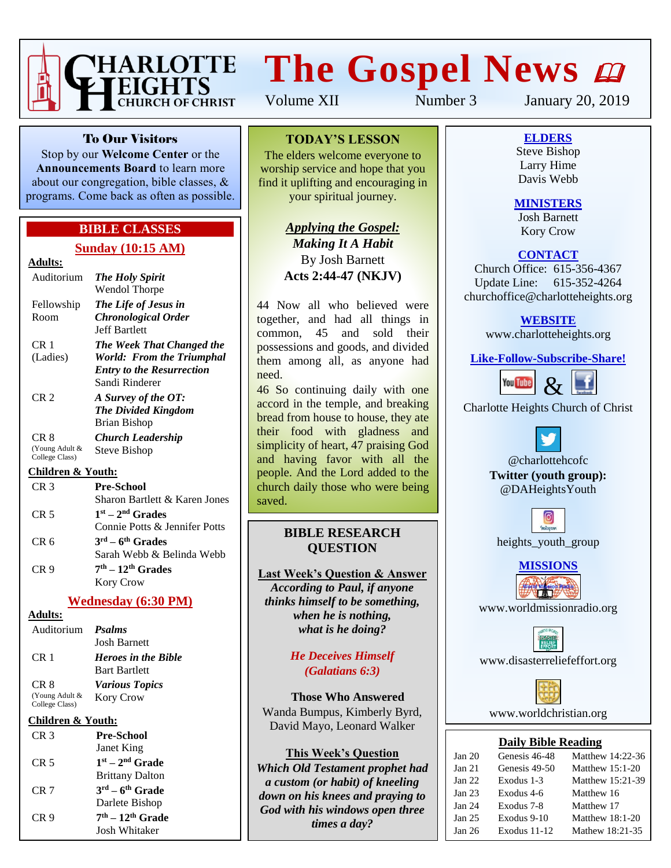

# **The Gospel News**

Volume XII Number 3 January 20, 2019

To Our Visitors

Stop by our **Welcome Center** or the **Announcements Board** to learn more about our congregation, bible classes, & programs. Come back as often as possible.

### **BIBLE CLASSES**

### **Sunday (10:15 AM)**

### **Adults:**

| Auditorium                       | <b>The Holy Spirit</b>           |
|----------------------------------|----------------------------------|
|                                  | Wendol Thorpe                    |
| Fellowship                       | The Life of Jesus in             |
| Room                             | <b>Chronological Order</b>       |
|                                  | Jeff Bartlett                    |
| CR 1                             | The Week That Changed the        |
| (Ladies)                         | World: From the Triumphal        |
|                                  | <b>Entry to the Resurrection</b> |
|                                  | Sandi Rinderer                   |
| CR <sub>2</sub>                  | A Survey of the OT:              |
|                                  | <b>The Divided Kingdom</b>       |
|                                  | Brian Bishop                     |
| CR 8                             | Church Leadership                |
| (Young Adult &<br>College Class) | Steve Bishop                     |

### **Children & Youth:**

| CR <sub>3</sub> | <b>Pre-School</b>             |
|-----------------|-------------------------------|
|                 | Sharon Bartlett & Karen Jones |
| CR <sub>5</sub> | $1st - 2nd$ Grades            |
|                 | Connie Potts & Jennifer Potts |
| CR <sub>6</sub> | $3rd - 6th$ Grades            |
|                 | Sarah Webb & Belinda Webb     |
| CR <sub>9</sub> | $7th - 12th$ Grades           |
|                 | Kory Crow                     |

### **Wednesday (6:30 PM)**

### **Adults:**

| Auditorium <i>Psalms</i>         |                            |
|----------------------------------|----------------------------|
|                                  | <b>Josh Barnett</b>        |
| CR <sub>1</sub>                  | <b>Heroes in the Bible</b> |
|                                  | <b>Bart Bartlett</b>       |
| CR <sub>8</sub>                  | <b>Various Topics</b>      |
| (Young Adult &<br>College Class) | <b>Kory Crow</b>           |

### **Children & Youth:**

| CR <sub>3</sub> | <b>Pre-School</b>      |
|-----------------|------------------------|
|                 | Janet King             |
| CR 5            | $1st - 2nd$ Grade      |
|                 | <b>Brittany Dalton</b> |
| CR 7            | $3rd - 6th$ Grade      |
|                 | Darlete Bishop         |
| CR 9            | $7th - 12th$ Grade     |
|                 | Josh Whitaker          |

### **TODAY'S LESSON**

The elders welcome everyone to worship service and hope that you find it uplifting and encouraging in your spiritual journey.

> *Applying the Gospel: Making It A Habit* By Josh Barnett **Acts 2:44-47 (NKJV)**

44 Now all who believed were together, and had all things in common, 45 and sold their possessions and goods, and divided them among all, as anyone had need.

46 So continuing daily with one accord in the temple, and breaking bread from house to house, they ate their food with gladness and simplicity of heart, 47 praising God and having favor with all the people. And the Lord added to the church daily those who were being saved.

### **BIBLE RESEARCH QUESTION**

**Last Week's Question & Answer** *According to Paul, if anyone thinks himself to be something, when he is nothing, what is he doing?*

> *He Deceives Himself (Galatians 6:3)*

**Those Who Answered** Wanda Bumpus, Kimberly Byrd, David Mayo, Leonard Walker

### **This Week's Question**

*Which Old Testament prophet had a custom (or habit) of kneeling down on his knees and praying to God with his windows open three times a day?*

**ELDERS**

Steve Bishop Larry Hime Davis Webb

### **MINISTERS**

Josh Barnett Kory Crow

### **CONTACT**

Church Office: 615-356-4367 Update Line: 615-352-4264 churchoffice@charlotteheights.org

### **WEBSITE**

[www.charlotteheights.org](http://www.charlotteheights.org/)

### **Like-Follow-Subscribe-Share!**



Charlotte Heights Church of Christ

@charlottehcofc **Twitter (youth group):** @DAHeightsYouth



**MISSIONS**

www.worldmissionradio.org

[www.disasterreliefeffort.org](http://www.disasterreliefeffort.org/)



[www.worldchristian.org](http://www.worldchristian.org/)

### **Daily Bible Reading**

| Jan 20            | Genesis 46-48 | Matthew 14:22-36  |
|-------------------|---------------|-------------------|
| Jan <sub>21</sub> | Genesis 49-50 | Matthew $15:1-20$ |
| Jan 22            | Exodus 1-3    | Matthew 15:21-39  |
| Jan <sub>23</sub> | Exodus 4-6    | Matthew 16        |
| Jan <sub>24</sub> | Exodus 7-8    | Matthew 17        |
| Jan <sub>25</sub> | Exodus 9-10   | Matthew $18:1-20$ |
| Jan <sub>26</sub> | Exodus 11-12  | Mathew 18:21-35   |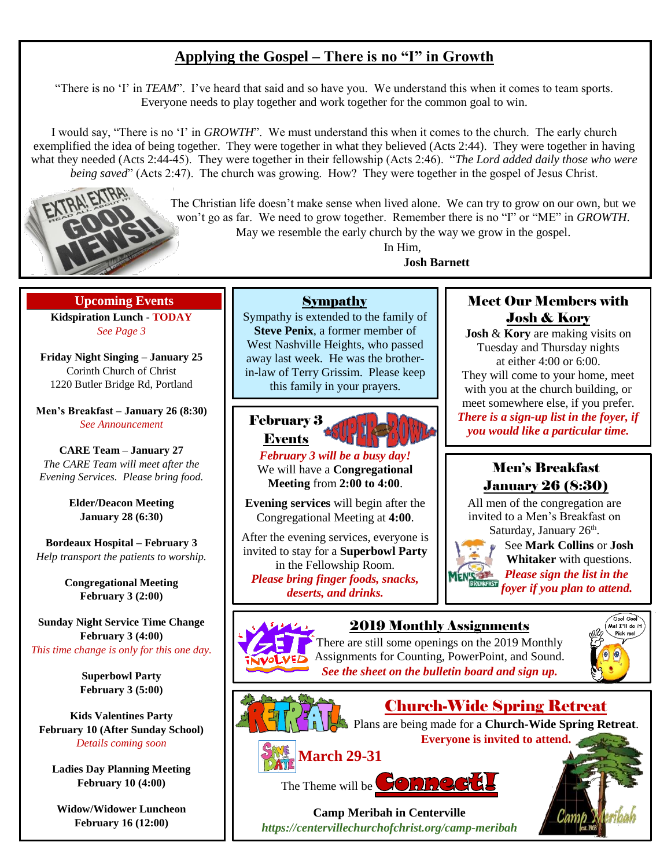## **Applying the Gospel – There is no "I" in Growth**

"There is no 'I' in *TEAM*". I've heard that said and so have you. We understand this when it comes to team sports. Everyone needs to play together and work together for the common goal to win.

I would say, "There is no 'I' in *GROWTH*". We must understand this when it comes to the church. The early church exemplified the idea of being together. They were together in what they believed (Acts 2:44). They were together in having what they needed (Acts 2:44-45). They were together in their fellowship (Acts 2:46). "*The Lord added daily those who were being saved*" (Acts 2:47). The church was growing. How? They were together in the gospel of Jesus Christ.



The Christian life doesn't make sense when lived alone. We can try to grow on our own, but we won't go as far. We need to grow together. Remember there is no "I" or "ME" in *GROWTH*.

May we resemble the early church by the way we grow in the gospel.

In Him, **Josh Barnett**

**Upcoming Events Kidspiration Lunch - TODAY** *See Page 3*

**Friday Night Singing – January 25** Corinth Church of Christ 1220 Butler Bridge Rd, Portland

**Men's Breakfast – January 26 (8:30)** *See Announcement*

**CARE Team – January 27** *The CARE Team will meet after the Evening Services. Please bring food.*

> **Elder/Deacon Meeting January 28 (6:30)**

**Bordeaux Hospital – February 3** *Help transport the patients to worship.*

> **Congregational Meeting February 3 (2:00)**

**Sunday Night Service Time Change February 3 (4:00)** *This time change is only for this one day.*

> **Superbowl Party February 3 (5:00)**

**Kids Valentines Party February 10 (After Sunday School)** *Details coming soon*

**Ladies Day Planning Meeting February 10 (4:00)**

**Widow/Widower Luncheon February 16 (12:00)**

### Sympathy

Sympathy is extended to the family of **Steve Penix**, a former member of West Nashville Heights, who passed away last week. He was the brotherin-law of Terry Grissim. Please keep this family in your prayers.



*February 3 will be a busy day!* We will have a **Congregational Meeting** from **2:00 to 4:00**.

**Evening services** will begin after the Congregational Meeting at **4:00**.

After the evening services, everyone is invited to stay for a **Superbowl Party** in the Fellowship Room. *Please bring finger foods, snacks, deserts, and drinks.*

### Meet Our Members with Josh & Kory

**Josh** & **Kory** are making visits on Tuesday and Thursday nights at either 4:00 or 6:00. They will come to your home, meet with you at the church building, or meet somewhere else, if you prefer. *There is a sign-up list in the foyer, if you would like a particular time.*

### Men's Breakfast January 26 (8:30)

All men of the congregation are invited to a Men's Breakfast on Saturday, January 26<sup>th</sup>.



Church-Wide Spring Retreat Plans are being made for a **Church-Wide Spring Retreat**. **Everyone is invited to attend.**

See **Mark Collins** or **Josh Whitaker** with questions. *Please sign the list in the foyer if you plan to attend.*



2019 Monthly Assignments





**March 29-31**

The Theme will be **SOMNC** 

**Camp Meribah in Centerville** *[https://centervillechurchofchrist.org/camp-meribah](https://centervillechurchofchrist.org/camp-meribah/)*

There are still some openings on the 2019 Monthly Assignments for Counting, PowerPoint, and Sound. *See the sheet on the bulletin board and sign up.*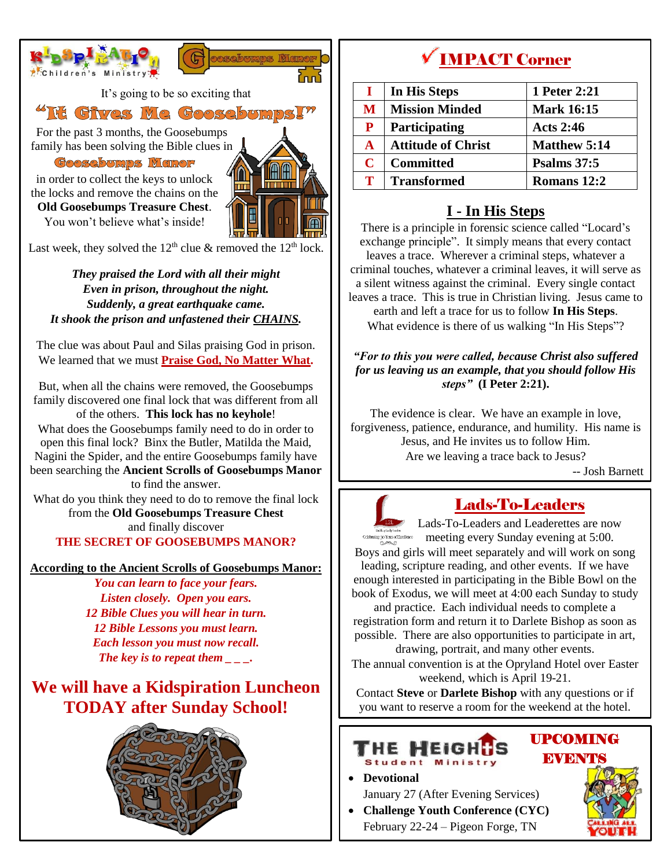

Last week, they solved the  $12<sup>th</sup>$  clue & removed the  $12<sup>th</sup>$  lock.

*They praised the Lord with all their might Even in prison, throughout the night. Suddenly, a great earthquake came. It shook the prison and unfastened their CHAINS.*

The clue was about Paul and Silas praising God in prison. We learned that we must **Praise God, No Matter What.**

But, when all the chains were removed, the Goosebumps family discovered one final lock that was different from all of the others. **This lock has no keyhole**!

What does the Goosebumps family need to do in order to open this final lock? Binx the Butler, Matilda the Maid, Nagini the Spider, and the entire Goosebumps family have been searching the **Ancient Scrolls of Goosebumps Manor** to find the answer.

What do you think they need to do to remove the final lock from the **Old Goosebumps Treasure Chest** and finally discover

### **THE SECRET OF GOOSEBUMPS MANOR?**

**According to the Ancient Scrolls of Goosebumps Manor:**

*You can learn to face your fears. Listen closely. Open you ears. 12 Bible Clues you will hear in turn. 12 Bible Lessons you must learn. Each lesson you must now recall. The key is to repeat them \_ \_ \_.*

# **We will have a Kidspiration Luncheon TODAY after Sunday School!**



# **V IMPACT Corner**

|              | In His Steps              | 1 Peter 2:21        |
|--------------|---------------------------|---------------------|
| M            | <b>Mission Minded</b>     | <b>Mark 16:15</b>   |
| P            | <b>Participating</b>      | <b>Acts 2:46</b>    |
| $\mathbf{A}$ | <b>Attitude of Christ</b> | <b>Matthew 5:14</b> |
| $\mathbf C$  | <b>Committed</b>          | <b>Psalms</b> 37:5  |
| Т            | <b>Transformed</b>        | Romans 12:2         |

### **I - In His Steps**

There is a principle in forensic science called "Locard's exchange principle". It simply means that every contact leaves a trace. Wherever a criminal steps, whatever a criminal touches, whatever a criminal leaves, it will serve as a silent witness against the criminal. Every single contact leaves a trace. This is true in Christian living. Jesus came to earth and left a trace for us to follow **In His Steps**. What evidence is there of us walking "In His Steps"?

### *"For to this you were called, because Christ also suffered for us leaving us an example, that you should follow His steps"* **(I Peter 2:21).**

The evidence is clear. We have an example in love, forgiveness, patience, endurance, and humility. His name is Jesus, and He invites us to follow Him. Are we leaving a trace back to Jesus?

-- Josh Barnett



# Lads-To-Leaders

 $\frac{12}{\text{Kahleration} \cdot \text{Cahleration}}$  Lads-To-Leaders and Leaderettes are now meeting every Sunday evening at 5:00. Boys and girls will meet separately and will work on song leading, scripture reading, and other events. If we have enough interested in participating in the Bible Bowl on the book of Exodus, we will meet at 4:00 each Sunday to study and practice. Each individual needs to complete a

registration form and return it to Darlete Bishop as soon as possible. There are also opportunities to participate in art, drawing, portrait, and many other events.

The annual convention is at the Opryland Hotel over Easter weekend, which is April 19-21.

Contact **Steve** or **Darlete Bishop** with any questions or if you want to reserve a room for the weekend at the hotel.

### ГНЕ MEIGH **Student Ministry**

### UPCOMING **EVENTS**

• **Devotional**

- January 27 (After Evening Services) • **Challenge Youth Conference (CYC)**
- February 22-24 Pigeon Forge, TN